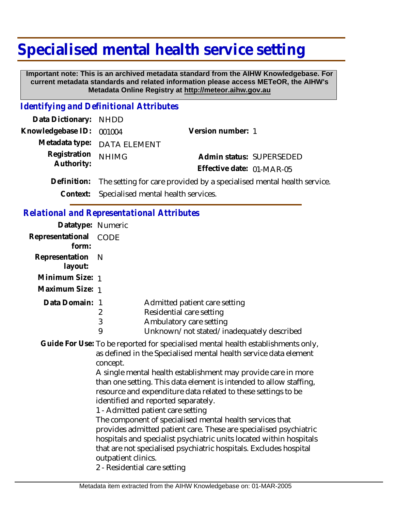# **Specialised mental health service setting**

 **Important note: This is an archived metadata standard from the AIHW Knowledgebase. For current metadata standards and related information please access METeOR, the AIHW's Metadata Online Registry at http://meteor.aihw.gov.au**

#### *Identifying and Definitional Attributes*

| Data Dictionary: NHDD      |                                                                                   |                           |
|----------------------------|-----------------------------------------------------------------------------------|---------------------------|
| Knowledgebase ID: 001004   |                                                                                   | Version number: 1         |
|                            | Metadata type: DATA ELEMENT                                                       |                           |
| Registration<br>Authority: | <b>NHIMG</b>                                                                      | Admin status: SUPERSEDED  |
|                            |                                                                                   | Effective date: 01-MAR-05 |
|                            | Definition: The setting for care provided by a specialised mental health service. |                           |

**Context:** Specialised mental health services.

#### *Relational and Representational Attributes*

3 9

| Datatype: Numeric         |      |
|---------------------------|------|
| Representational<br>form: | CODE |
| Representation<br>layout: | – N  |
|                           |      |
| Minimum Size: 1           |      |
| Maximum Size: 1           |      |
| Data Domain: 1            |      |

- 2 Residential care setting
	- Ambulatory care setting
		- Unknown/not stated/inadequately described

Guide For Use: To be reported for specialised mental health establishments only, as defined in the Specialised mental health service data element concept.

A single mental health establishment may provide care in more than one setting. This data element is intended to allow staffing, resource and expenditure data related to these settings to be identified and reported separately.

1 - Admitted patient care setting

The component of specialised mental health services that provides admitted patient care. These are specialised psychiatric hospitals and specialist psychiatric units located within hospitals that are not specialised psychiatric hospitals. Excludes hospital outpatient clinics.

2 - Residential care setting